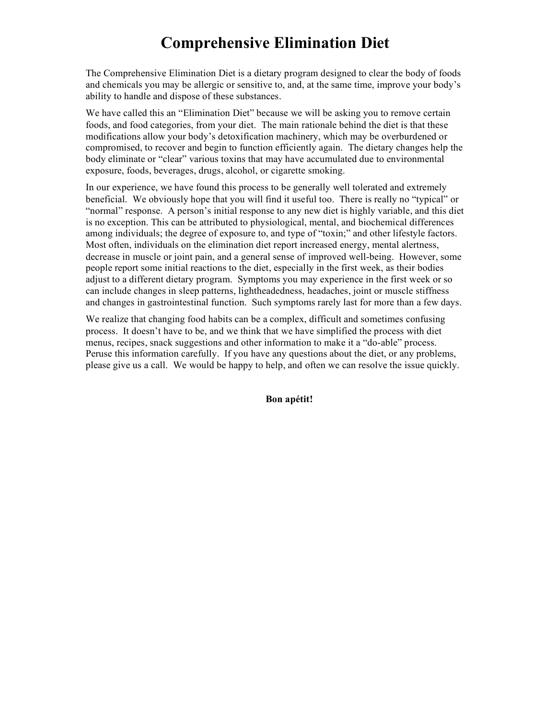# **Comprehensive Elimination Diet**

The Comprehensive Elimination Diet is a dietary program designed to clear the body of foods and chemicals you may be allergic or sensitive to, and, at the same time, improve your body's ability to handle and dispose of these substances.

We have called this an "Elimination Diet" because we will be asking you to remove certain foods, and food categories, from your diet. The main rationale behind the diet is that these modifications allow your body's detoxification machinery, which may be overburdened or compromised, to recover and begin to function efficiently again. The dietary changes help the body eliminate or "clear" various toxins that may have accumulated due to environmental exposure, foods, beverages, drugs, alcohol, or cigarette smoking.

In our experience, we have found this process to be generally well tolerated and extremely beneficial. We obviously hope that you will find it useful too. There is really no "typical" or "normal" response. A person's initial response to any new diet is highly variable, and this diet is no exception. This can be attributed to physiological, mental, and biochemical differences among individuals; the degree of exposure to, and type of "toxin;" and other lifestyle factors. Most often, individuals on the elimination diet report increased energy, mental alertness, decrease in muscle or joint pain, and a general sense of improved well-being. However, some people report some initial reactions to the diet, especially in the first week, as their bodies adjust to a different dietary program. Symptoms you may experience in the first week or so can include changes in sleep patterns, lightheadedness, headaches, joint or muscle stiffness and changes in gastrointestinal function. Such symptoms rarely last for more than a few days.

We realize that changing food habits can be a complex, difficult and sometimes confusing process. It doesn't have to be, and we think that we have simplified the process with diet menus, recipes, snack suggestions and other information to make it a "do-able" process. Peruse this information carefully. If you have any questions about the diet, or any problems, please give us a call. We would be happy to help, and often we can resolve the issue quickly.

**Bon apétit!**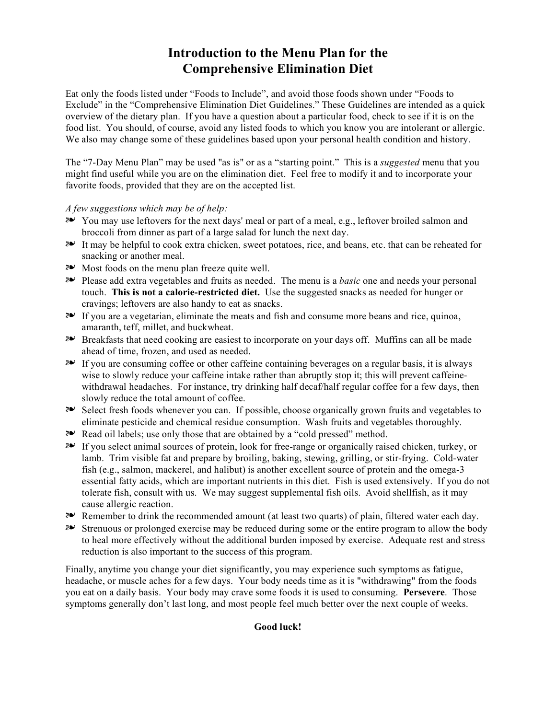# **Introduction to the Menu Plan for the Comprehensive Elimination Diet**

Eat only the foods listed under "Foods to Include", and avoid those foods shown under "Foods to Exclude" in the "Comprehensive Elimination Diet Guidelines." These Guidelines are intended as a quick overview of the dietary plan. If you have a question about a particular food, check to see if it is on the food list. You should, of course, avoid any listed foods to which you know you are intolerant or allergic. We also may change some of these guidelines based upon your personal health condition and history.

The "7-Day Menu Plan" may be used "as is" or as a "starting point." This is a *suggested* menu that you might find useful while you are on the elimination diet. Feel free to modify it and to incorporate your favorite foods, provided that they are on the accepted list.

*A few suggestions which may be of help:*

- You may use leftovers for the next days' meal or part of a meal, e.g., leftover broiled salmon and broccoli from dinner as part of a large salad for lunch the next day.
- It may be helpful to cook extra chicken, sweet potatoes, rice, and beans, etc. that can be reheated for snacking or another meal.
- Most foods on the menu plan freeze quite well.
- Please add extra vegetables and fruits as needed. The menu is a *basic* one and needs your personal touch. **This is not a calorie-restricted diet.** Use the suggested snacks as needed for hunger or cravings; leftovers are also handy to eat as snacks.
- If you are a vegetarian, eliminate the meats and fish and consume more beans and rice, quinoa, amaranth, teff, millet, and buckwheat.
- Breakfasts that need cooking are easiest to incorporate on your days off. Muffins can all be made ahead of time, frozen, and used as needed.
- If you are consuming coffee or other caffeine containing beverages on a regular basis, it is always wise to slowly reduce your caffeine intake rather than abruptly stop it; this will prevent caffeinewithdrawal headaches. For instance, try drinking half decaf/half regular coffee for a few days, then slowly reduce the total amount of coffee.
- Select fresh foods whenever you can. If possible, choose organically grown fruits and vegetables to eliminate pesticide and chemical residue consumption. Wash fruits and vegetables thoroughly.
- Read oil labels; use only those that are obtained by a "cold pressed" method.
- If you select animal sources of protein, look for free-range or organically raised chicken, turkey, or lamb. Trim visible fat and prepare by broiling, baking, stewing, grilling, or stir-frying. Cold-water fish (e.g., salmon, mackerel, and halibut) is another excellent source of protein and the omega-3 essential fatty acids, which are important nutrients in this diet. Fish is used extensively. If you do not tolerate fish, consult with us. We may suggest supplemental fish oils. Avoid shellfish, as it may cause allergic reaction.
- Remember to drink the recommended amount (at least two quarts) of plain, filtered water each day.
- Strenuous or prolonged exercise may be reduced during some or the entire program to allow the body to heal more effectively without the additional burden imposed by exercise. Adequate rest and stress reduction is also important to the success of this program.

Finally, anytime you change your diet significantly, you may experience such symptoms as fatigue, headache, or muscle aches for a few days. Your body needs time as it is "withdrawing" from the foods you eat on a daily basis. Your body may crave some foods it is used to consuming. **Persevere**. Those symptoms generally don't last long, and most people feel much better over the next couple of weeks.

# **Good luck!**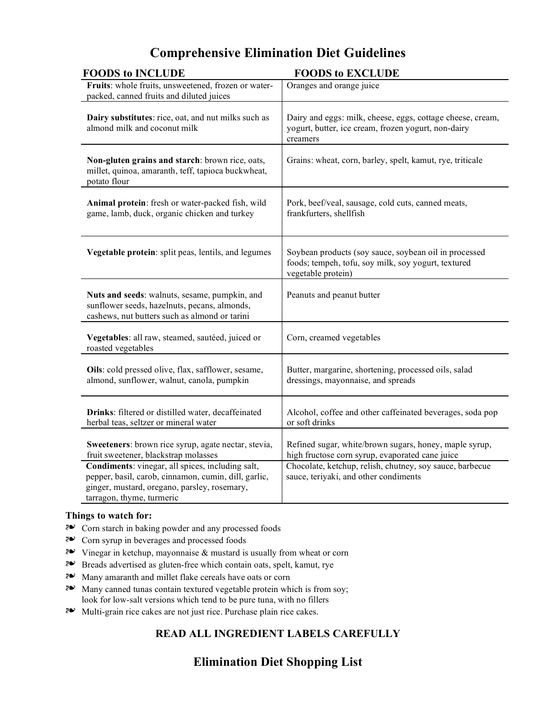# **Comprehensive Elimination Diet Guidelines**

| <b>FOODS to INCLUDE</b>                                                                                                                                                               | <b>FOODS to EXCLUDE</b>                                                                                                            |
|---------------------------------------------------------------------------------------------------------------------------------------------------------------------------------------|------------------------------------------------------------------------------------------------------------------------------------|
| Fruits: whole fruits, unsweetened, frozen or water-<br>packed, canned fruits and diluted juices                                                                                       | Oranges and orange juice                                                                                                           |
| Dairy substitutes: rice, oat, and nut milks such as<br>almond milk and coconut milk                                                                                                   | Dairy and eggs: milk, cheese, eggs, cottage cheese, cream,<br>yogurt, butter, ice cream, frozen yogurt, non-dairy<br>creamers      |
| Non-gluten grains and starch: brown rice, oats,<br>millet, quinoa, amaranth, teff, tapioca buckwheat,<br>potato flour                                                                 | Grains: wheat, corn, barley, spelt, kamut, rye, triticale                                                                          |
| Animal protein: fresh or water-packed fish, wild<br>game, lamb, duck, organic chicken and turkey                                                                                      | Pork, beef/veal, sausage, cold cuts, canned meats,<br>frankfurters, shellfish                                                      |
| Vegetable protein: split peas, lentils, and legumes                                                                                                                                   | Soybean products (soy sauce, soybean oil in processed<br>foods; tempeh, tofu, soy milk, soy yogurt, textured<br>vegetable protein) |
| Nuts and seeds: walnuts, sesame, pumpkin, and<br>sunflower seeds, hazelnuts, pecans, almonds,<br>cashews, nut butters such as almond or tarini                                        | Peanuts and peanut butter                                                                                                          |
| Vegetables: all raw, steamed, sautéed, juiced or<br>roasted vegetables                                                                                                                | Corn, creamed vegetables                                                                                                           |
| Oils: cold pressed olive, flax, safflower, sesame,<br>almond, sunflower, walnut, canola, pumpkin                                                                                      | Butter, margarine, shortening, processed oils, salad<br>dressings, mayonnaise, and spreads                                         |
| Drinks: filtered or distilled water, decaffeinated<br>herbal teas, seltzer or mineral water                                                                                           | Alcohol, coffee and other caffeinated beverages, soda pop<br>or soft drinks                                                        |
| Sweeteners: brown rice syrup, agate nectar, stevia,<br>fruit sweetener, blackstrap molasses                                                                                           | Refined sugar, white/brown sugars, honey, maple syrup,<br>high fructose corn syrup, evaporated cane juice                          |
| Condiments: vinegar, all spices, including salt,<br>pepper, basil, carob, cinnamon, cumin, dill, garlic,<br>ginger, mustard, oregano, parsley, rosemary,<br>tarragon, thyme, turmeric | Chocolate, ketchup, relish, chutney, soy sauce, barbecue<br>sauce, teriyaki, and other condiments                                  |

# **Things to watch for:**

- Corn starch in baking powder and any processed foods
- Corn syrup in beverages and processed foods
- $\mathcal{V}$  Vinegar in ketchup, mayonnaise & mustard is usually from wheat or corn
- Breads advertised as gluten-free which contain oats, spelt, kamut, rye
- Many amaranth and millet flake cereals have oats or corn
- Many canned tunas contain textured vegetable protein which is from soy; look for low-salt versions which tend to be pure tuna, with no fillers
- Multi-grain rice cakes are not just rice. Purchase plain rice cakes.

# **READ ALL INGREDIENT LABELS CAREFULLY**

# **Elimination Diet Shopping List**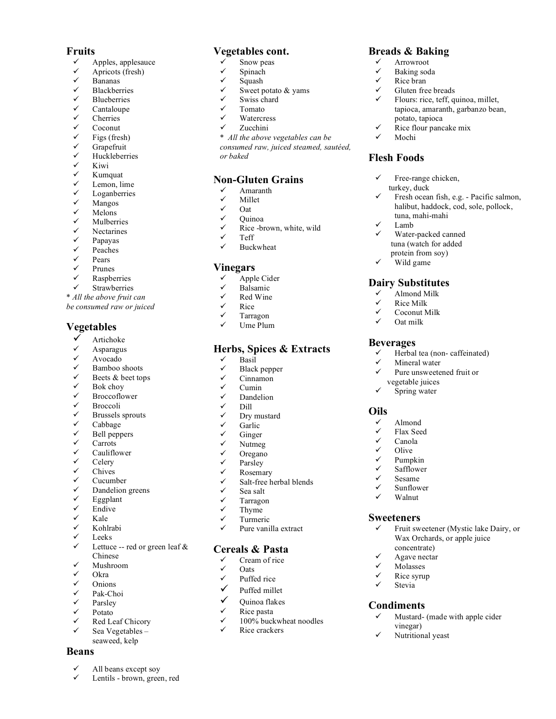# **Fruits**

 $\checkmark$  Apples, applesauce

**Vegetables cont.** Snow peas

 $\checkmark$  Sweet potato & yams Swiss chard

**Non-Gluten Grains**

 $\checkmark$  Amaranth<br> $\checkmark$  Millet  $\checkmark$  Millet Oat  $\checkmark$  Quinoa

 $\checkmark$  Teff  $\checkmark$  Buckwheat

**Vinegars**

 $\begin{matrix} \checkmark & \text{Basil} \\ \checkmark & \text{Black} \end{matrix}$ 

 $\checkmark$  Apple Cider  $\checkmark$  Balsamic<br> $\checkmark$  Bed Wine  $\checkmark$  Red Wine Rice  $\checkmark$  Tarragon Ume Plum

\* *All the above vegetables can be consumed raw, juiced steamed, sautéed,*  **Breads & Baking**  $\checkmark$  Arrowroot  $\checkmark$  Baking soda  $\checkmark$  Rice bran<br> $\checkmark$  Gluten fre

Gluten free breads

potato, tapioca Rice flour pancake mix

 $\checkmark$  Free-range chicken, turkey, duck

tuna, mahi-mahi

 Water-packed canned tuna (watch for added

Mochi

Lamb

protein from soy)<br> $\checkmark$  Wild game Wild game

**Dairy Substitutes** Almond Milk  $\checkmark$  Rice Milk

 $\sqrt{ }$  Oat milk

 $\checkmark$  Almond<br> $\checkmark$  Flax See Flax Seed  $\checkmark$  Canola  $\sqrt{\frac{O}{D}}$  $\checkmark$  Pumpkin Safflower Sesame Sunflower Walnut

**Sweeteners**

**Condiments**

vinegar)  $\checkmark$  Nutritional yeast

concentrate)  $\checkmark$  Agave nectar Molasses  $\checkmark$  Rice syrup Stevia

**Beverages**

**Oils**

Coconut Milk

 Mineral water  $\checkmark$  Pure unsweetened fruit or vegetable juices  $\checkmark$  Spring water

Herbal tea (non- caffeinated)

 $\checkmark$  Fruit sweetener (Mystic lake Dairy, or Wax Orchards, or apple juice

 $\checkmark$  Mustard- (made with apple cider

**Flesh Foods**

 Flours: rice, teff, quinoa, millet, tapioca, amaranth, garbanzo bean,

 $\checkmark$  Fresh ocean fish, e.g. - Pacific salmon, halibut, haddock, cod, sole, pollock,

Rice -brown, white, wild

**Herbs, Spices & Extracts**

 Black pepper  $\checkmark$  Cinnamon  $\checkmark$  Cumin  $\checkmark$  Dandelion<br> $\checkmark$  Dill V Dill<br>V Drv  $\checkmark$  Dry mustard<br> $\checkmark$  Garlic  $\checkmark$  Garlic<br> $\checkmark$  Ginger  $\checkmark$  Ginger  $\checkmark$  Nutmeg  $\checkmark$  Oregano  $\checkmark$  Parsley<br> $\checkmark$  Rosema  $\checkmark$  Rosemary<br> $\checkmark$  Salt-free h

 $\checkmark$  Salt-free herbal blends<br> $\checkmark$  Sea salt

Pure vanilla extract

 $\checkmark$  Sea salt  $\checkmark$  Tarragon  $\checkmark$  Thyme Turmeric

**Cereals & Pasta**   $\checkmark$  Cream of rice

 Puffed rice  $\checkmark$  Puffed millet  $\checkmark$  Quinoa flakes Rice pasta  $\checkmark$  100% buckwheat noodles Rice crackers

Oats

 $\checkmark$  Spinach  $\checkmark$  Squash

 $\sqrt{ }$  Tomato Watercress Zucchini

*or baked*

- $\checkmark$  Apricots (fresh)
- $\checkmark$  Bananas<br> $\checkmark$  Blackber
- $\checkmark$  Blackberries<br> $\checkmark$  Blueberries
- $\checkmark$  Blueberries<br> $\checkmark$  Cantaloune
- $\checkmark$  Cantaloupe
- $\checkmark$  Cherries
- $\checkmark$  Coconut<br> $\checkmark$  Figs (fres
- $\checkmark$  Figs (fresh)<br> $\checkmark$  Grapefruit
- $\checkmark$  Grapefruit<br> $\checkmark$  Huckleberr
- $\checkmark$  Huckleberries<br> $\checkmark$  Kiwi
- $\checkmark$  Kiwi
- $\checkmark$  Kumquat<br> $\checkmark$  Lemon li
- $\checkmark$  Lemon, lime
- $\checkmark$  Loganberries
- $\checkmark$  Mangos
- $\checkmark$  Melons<br> $\checkmark$  Mulberr
- $\checkmark$  Mulberries<br> $\checkmark$  Nectarines
- $\checkmark$  Nectarines
- $\checkmark$  Papayas<br> $\checkmark$  Peaches
- $\checkmark$  Peaches
- $\checkmark$  Pears
- Prunes
- $\checkmark$  Raspberries
- Strawberries
- 
- 

# **Vegetables**

- 
- 
- 
- $\checkmark$  Bamboo shoots<br> $\checkmark$  Beets & beet to
- $\checkmark$  Beets & beet tops<br> $\checkmark$  Bok chov
- $\checkmark$  Bok choy
- $\checkmark$  Broccoflower
- $\checkmark$  Broccoli<br> $\checkmark$  Brussels
- 
- $\checkmark$  Cabbage
- $\checkmark$  Bell peppers
- $\checkmark$  Carrots
- ✓ Cauliflower<br>✓ Celerv
- $\checkmark$  Celery<br> $\checkmark$  Chives
- $\checkmark$  Chives
- $\checkmark$  Cucumber<br> $\checkmark$  Dandelion
- $\checkmark$  Dandelion greens<br> $\checkmark$  Eggnant
- 
- $\checkmark$  Endive
- 
- 
- 
- 
- 
- 
- 
- 
- 
- seaweed, kelp

# **Beans**

All beans except soy

- 
- \* *All the above fruit can*
- *be consumed raw or juiced*

- $\checkmark$  Artichoke
- $\checkmark$  Asparagus
- $\checkmark$  Avocado
- 
- 
- 
- 
- 
- $\checkmark$  Brussels sprouts<br> $\checkmark$  Cabbage
- 
- 
- 
- 
- 
- 
- 
- 
- $\checkmark$  Eggplant<br> $\checkmark$  Endive
- 
- Kale
- $\checkmark$  Kohlrabi
- $\checkmark$  Leeks
- $\checkmark$  Lettuce -- red or green leaf &
- Chinese
- $\checkmark$  Mushroom
- $\checkmark$  Okra
- $\checkmark$  Onions<br> $\checkmark$  Pak-Ch
- $\checkmark$  Pak-Choi Parsley
- Potato
- Red Leaf Chicory
- Sea Vegetables –

Lentils - brown, green, red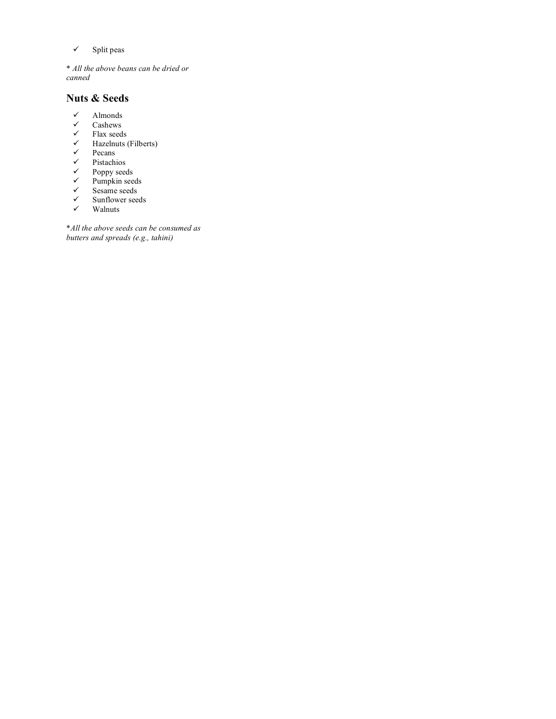$\checkmark$  Split peas

\* *All the above beans can be dried or canned*

# **Nuts & Seeds**

- 
- $\checkmark$  Almonds<br> $\checkmark$  Cashews
- $\checkmark$  Cashews<br> $\checkmark$  Flax seed
- $\checkmark$  Flax seeds<br> $\checkmark$  Hazelnuts (  $\checkmark$  Hazelnuts (Filberts)<br> $\checkmark$  Pecans
- 
- Pistachios
- Poppy seeds
- Pumpkin seeds
- Sesame seeds
- V<br>
Pecans<br>
V<br>
Poppy s<br>
V<br>
Pumpki<br>
V<br>
Sesame<br>
V<br>
Walnut: Sunflower seeds
- Walnuts

\**All the above seeds can be consumed as butters and spreads (e.g., tahini)*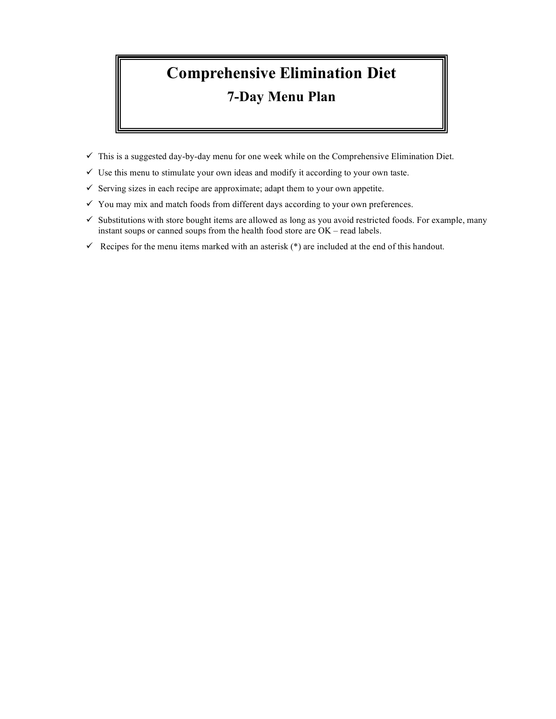# **Comprehensive Elimination Diet 7-Day Menu Plan**

- $\checkmark$  This is a suggested day-by-day menu for one week while on the Comprehensive Elimination Diet.
- $\checkmark$  Use this menu to stimulate your own ideas and modify it according to your own taste.
- $\checkmark$  Serving sizes in each recipe are approximate; adapt them to your own appetite.
- $\checkmark$  You may mix and match foods from different days according to your own preferences.
- $\checkmark$  Substitutions with store bought items are allowed as long as you avoid restricted foods. For example, many instant soups or canned soups from the health food store are OK – read labels.
- $\checkmark$  Recipes for the menu items marked with an asterisk (\*) are included at the end of this handout.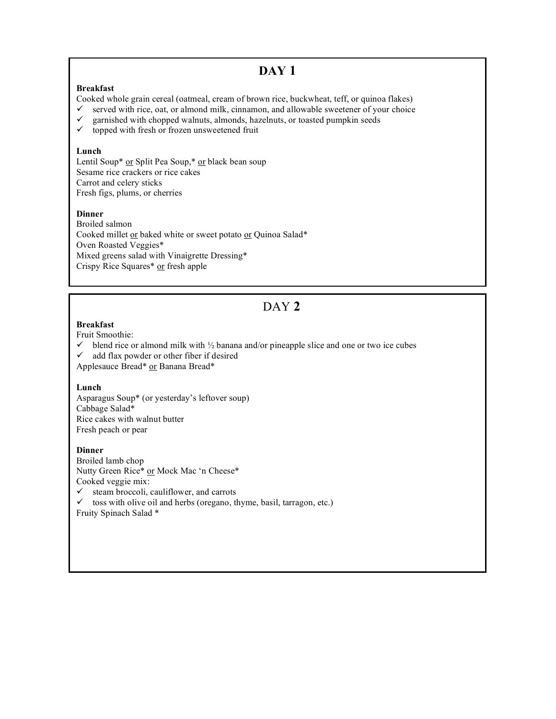### **Breakfast**

Cooked whole grain cereal (oatmeal, cream of brown rice, buckwheat, teff, or quinoa flakes)

- $\checkmark$  served with rice, oat, or almond milk, cinnamon, and allowable sweetener of your choice  $\checkmark$  sarnished with chonned walnuts almonds hazelnuts or toasted numnkin seeds
- garnished with chopped walnuts, almonds, hazelnuts, or toasted pumpkin seeds
- $\checkmark$  topped with fresh or frozen unsweetened fruit

### **Lunch**

Lentil Soup\* or Split Pea Soup,\* or black bean soup Sesame rice crackers or rice cakes Carrot and celery sticks Fresh figs, plums, or cherries

### **Dinner**

Broiled salmon Cooked millet or baked white or sweet potato or Quinoa Salad\* Oven Roasted Veggies\* Mixed greens salad with Vinaigrette Dressing\* Crispy Rice Squares\* or fresh apple

# DAY **2**

# **Breakfast**

Fruit Smoothie:

- $\checkmark$  blend rice or almond milk with  $\frac{1}{2}$  banana and/or pineapple slice and one or two ice cubes
- $\checkmark$  add flax powder or other fiber if desired
- Applesauce Bread\* or Banana Bread\*

### **Lunch**

Asparagus Soup\* (or yesterday's leftover soup) Cabbage Salad\* Rice cakes with walnut butter Fresh peach or pear

### **Dinner**

Broiled lamb chop Nutty Green Rice\* or Mock Mac 'n Cheese\* Cooked veggie mix:

- $\checkmark$  steam broccoli, cauliflower, and carrots
- $\checkmark$  toss with olive oil and herbs (oregano, thyme, basil, tarragon, etc.)

Fruity Spinach Salad \*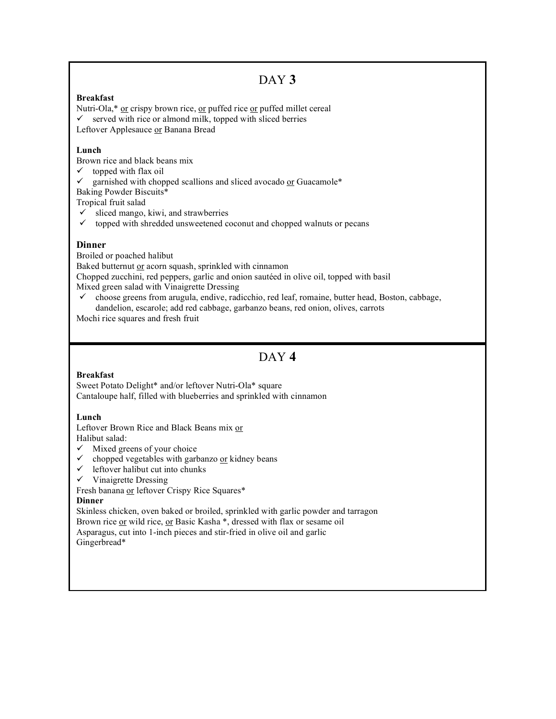# DAY **3**

### **Breakfast**

Nutri-Ola,\* or crispy brown rice, or puffed rice or puffed millet cereal  $\checkmark$  served with rice or almond milk, topped with sliced berries Leftover Applesauce or Banana Bread

# **Lunch**

Brown rice and black beans mix

- $\checkmark$  topped with flax oil
- $\checkmark$  garnished with chopped scallions and sliced avocado or Guacamole\*

Baking Powder Biscuits\*

Tropical fruit salad

- $\checkmark$  sliced mango, kiwi, and strawberries
- $\checkmark$  topped with shredded unsweetened coconut and chopped walnuts or pecans

# **Dinner**

Broiled or poached halibut

Baked butternut or acorn squash, sprinkled with cinnamon

Chopped zucchini, red peppers, garlic and onion sautéed in olive oil, topped with basil Mixed green salad with Vinaigrette Dressing

 $\checkmark$  choose greens from arugula, endive, radicchio, red leaf, romaine, butter head, Boston, cabbage, dandelion, escarole; add red cabbage, garbanzo beans, red onion, olives, carrots

Mochi rice squares and fresh fruit

# DAY **4**

# **Breakfast**

Sweet Potato Delight\* and/or leftover Nutri-Ola\* square Cantaloupe half, filled with blueberries and sprinkled with cinnamon

# **Lunch**

Leftover Brown Rice and Black Beans mix or Halibut salad:

- $\checkmark$  Mixed greens of your choice
- $\checkmark$  chopped vegetables with garbanzo or kidney beans
- $\checkmark$  leftover halibut cut into chunks
- $\checkmark$  Vinaigrette Dressing

Fresh banana or leftover Crispy Rice Squares\*

# **Dinner**

Skinless chicken, oven baked or broiled, sprinkled with garlic powder and tarragon Brown rice or wild rice, or Basic Kasha \*, dressed with flax or sesame oil

Asparagus, cut into 1-inch pieces and stir-fried in olive oil and garlic Gingerbread\*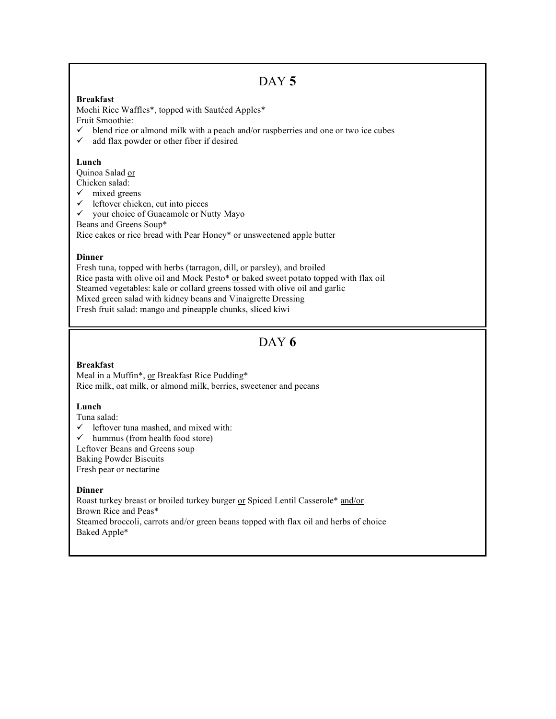# DAY **5**

# **Breakfast**

Mochi Rice Waffles\*, topped with Sautéed Apples\* Fruit Smoothie:

- $\checkmark$  blend rice or almond milk with a peach and/or raspberries and one or two ice cubes
- $\checkmark$  add flax powder or other fiber if desired

# **Lunch**

Quinoa Salad or

Chicken salad:

- $\checkmark$  mixed greens
- $\checkmark$  leftover chicken, cut into pieces
- $\checkmark$  your choice of Guacamole or Nutty Mayo

Beans and Greens Soup\*

Rice cakes or rice bread with Pear Honey\* or unsweetened apple butter

### **Dinner**

Fresh tuna, topped with herbs (tarragon, dill, or parsley), and broiled Rice pasta with olive oil and Mock Pesto\* or baked sweet potato topped with flax oil Steamed vegetables: kale or collard greens tossed with olive oil and garlic Mixed green salad with kidney beans and Vinaigrette Dressing Fresh fruit salad: mango and pineapple chunks, sliced kiwi

# DAY **6**

# **Breakfast**

Meal in a Muffin\*, or Breakfast Rice Pudding\* Rice milk, oat milk, or almond milk, berries, sweetener and pecans

# **Lunch**

# Tuna salad:

 $\checkmark$  leftover tuna mashed, and mixed with:

 $\checkmark$  hummus (from health food store)

Leftover Beans and Greens soup

Baking Powder Biscuits

Fresh pear or nectarine

### **Dinner**

Roast turkey breast or broiled turkey burger or Spiced Lentil Casserole\* and/or Brown Rice and Peas\* Steamed broccoli, carrots and/or green beans topped with flax oil and herbs of choice Baked Apple\*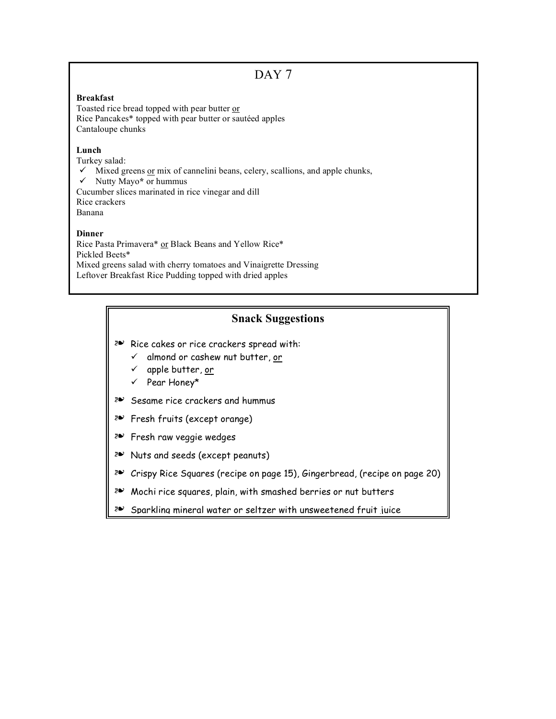DAY<sub>7</sub>

### **Breakfast**

Toasted rice bread topped with pear butter or Rice Pancakes\* topped with pear butter or sautéed apples Cantaloupe chunks

# **Lunch**

Turkey salad:

- $\checkmark$  Mixed greens or mix of cannelini beans, celery, scallions, and apple chunks,
- Nutty Mayo**\*** or hummus

Cucumber slices marinated in rice vinegar and dill Rice crackers

Banana

# **Dinner**

Rice Pasta Primavera\* or Black Beans and Yellow Rice\* Pickled Beets\* Mixed greens salad with cherry tomatoes and Vinaigrette Dressing Leftover Breakfast Rice Pudding topped with dried apples

# **Snack Suggestions**

- 2<sup>2</sup> Rice cakes or rice crackers spread with:
	- $\checkmark$  almond or cashew nut butter, or
	- $\checkmark$  apple butter, or
	- $\checkmark$  Pear Honey\*
- 2<sup>2</sup> Sesame rice crackers and hummus
- Fresh fruits (except orange)
- Fresh raw veggie wedges
- Nuts and seeds (except peanuts)
- Crispy Rice Squares (recipe on page 15), Gingerbread, (recipe on page 20)
- Mochi rice squares, plain, with smashed berries or nut butters
- Sparkling mineral water or seltzer with unsweetened fruit juice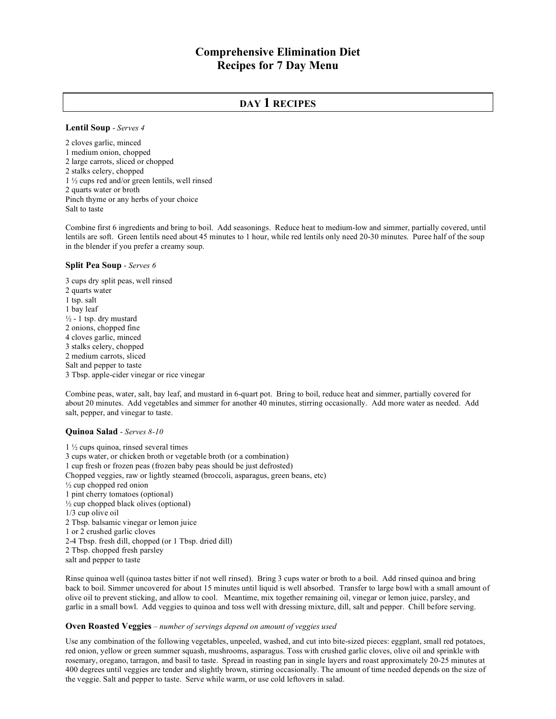# **Comprehensive Elimination Diet Recipes for 7 Day Menu**

# **DAY 1 RECIPES**

#### **Lentil Soup** - *Serves 4*

2 cloves garlic, minced 1 medium onion, chopped 2 large carrots, sliced or chopped 2 stalks celery, chopped 1 ½ cups red and/or green lentils, well rinsed 2 quarts water or broth Pinch thyme or any herbs of your choice Salt to taste

Combine first 6 ingredients and bring to boil. Add seasonings. Reduce heat to medium-low and simmer, partially covered, until lentils are soft. Green lentils need about 45 minutes to 1 hour, while red lentils only need 20-30 minutes. Puree half of the soup in the blender if you prefer a creamy soup.

#### **Split Pea Soup** - *Serves 6*

3 cups dry split peas, well rinsed 2 quarts water 1 tsp. salt 1 bay leaf  $\frac{1}{2}$  - 1 tsp. dry mustard 2 onions, chopped fine 4 cloves garlic, minced 3 stalks celery, chopped 2 medium carrots, sliced Salt and pepper to taste 3 Tbsp. apple-cider vinegar or rice vinegar

Combine peas, water, salt, bay leaf, and mustard in 6-quart pot. Bring to boil, reduce heat and simmer, partially covered for about 20 minutes. Add vegetables and simmer for another 40 minutes, stirring occasionally. Add more water as needed. Add salt, pepper, and vinegar to taste.

#### **Quinoa Salad** - *Serves 8-10*

1 ½ cups quinoa, rinsed several times 3 cups water, or chicken broth or vegetable broth (or a combination) 1 cup fresh or frozen peas (frozen baby peas should be just defrosted) Chopped veggies, raw or lightly steamed (broccoli, asparagus, green beans, etc)  $\frac{1}{2}$  cup chopped red onion 1 pint cherry tomatoes (optional)  $\frac{1}{2}$  cup chopped black olives (optional) 1/3 cup olive oil 2 Tbsp. balsamic vinegar or lemon juice 1 or 2 crushed garlic cloves 2-4 Tbsp. fresh dill, chopped (or 1 Tbsp. dried dill) 2 Tbsp. chopped fresh parsley salt and pepper to taste

Rinse quinoa well (quinoa tastes bitter if not well rinsed). Bring 3 cups water or broth to a boil. Add rinsed quinoa and bring back to boil. Simmer uncovered for about 15 minutes until liquid is well absorbed. Transfer to large bowl with a small amount of olive oil to prevent sticking, and allow to cool. Meantime, mix together remaining oil, vinegar or lemon juice, parsley, and garlic in a small bowl. Add veggies to quinoa and toss well with dressing mixture, dill, salt and pepper. Chill before serving.

### **Oven Roasted Veggies** – *number of servings depend on amount of veggies used*

Use any combination of the following vegetables, unpeeled, washed, and cut into bite-sized pieces: eggplant, small red potatoes, red onion, yellow or green summer squash, mushrooms, asparagus. Toss with crushed garlic cloves, olive oil and sprinkle with rosemary, oregano, tarragon, and basil to taste. Spread in roasting pan in single layers and roast approximately 20-25 minutes at 400 degrees until veggies are tender and slightly brown, stirring occasionally. The amount of time needed depends on the size of the veggie. Salt and pepper to taste. Serve while warm, or use cold leftovers in salad.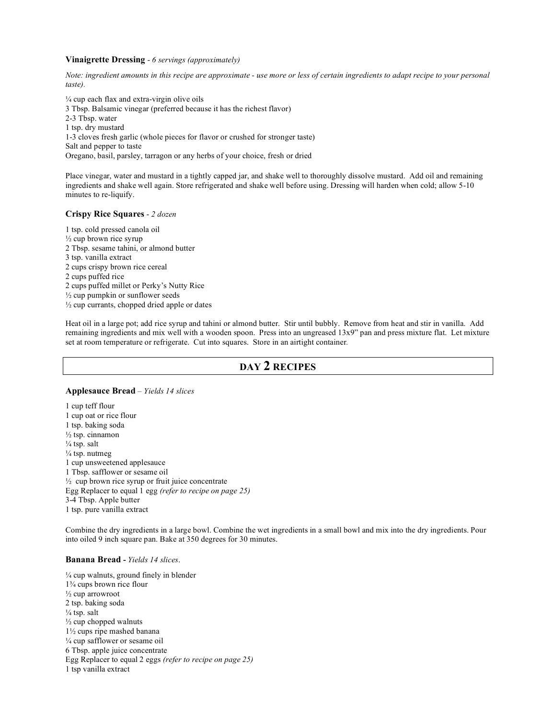#### **Vinaigrette Dressing** - *6 servings (approximately)*

*Note: ingredient amounts in this recipe are approximate - use more or less of certain ingredients to adapt recipe to your personal taste).*

¼ cup each flax and extra-virgin olive oils 3 Tbsp. Balsamic vinegar (preferred because it has the richest flavor) 2-3 Tbsp. water 1 tsp. dry mustard 1-3 cloves fresh garlic (whole pieces for flavor or crushed for stronger taste) Salt and pepper to taste Oregano, basil, parsley, tarragon or any herbs of your choice, fresh or dried

Place vinegar, water and mustard in a tightly capped jar, and shake well to thoroughly dissolve mustard. Add oil and remaining ingredients and shake well again. Store refrigerated and shake well before using. Dressing will harden when cold; allow 5-10 minutes to re-liquify.

#### **Crispy Rice Squares** - *2 dozen*

1 tsp. cold pressed canola oil  $\frac{1}{2}$  cup brown rice syrup 2 Tbsp. sesame tahini, or almond butter 3 tsp. vanilla extract 2 cups crispy brown rice cereal 2 cups puffed rice 2 cups puffed millet or Perky's Nutty Rice  $\frac{1}{2}$  cup pumpkin or sunflower seeds  $\frac{1}{2}$  cup currants, chopped dried apple or dates

Heat oil in a large pot; add rice syrup and tahini or almond butter. Stir until bubbly. Remove from heat and stir in vanilla. Add remaining ingredients and mix well with a wooden spoon. Press into an ungreased 13x9" pan and press mixture flat. Let mixture set at room temperature or refrigerate. Cut into squares. Store in an airtight container*.* 

# **DAY 2 RECIPES**

#### **Applesauce Bread** – *Yields 14 slices*

1 cup teff flour 1 cup oat or rice flour 1 tsp. baking soda  $\frac{1}{2}$  tsp. cinnamon  $\frac{1}{4}$  tsp. salt  $\frac{1}{4}$  tsp. nutmeg 1 cup unsweetened applesauce 1 Tbsp. safflower or sesame oil  $\frac{1}{2}$  cup brown rice syrup or fruit juice concentrate Egg Replacer to equal 1 egg *(refer to recipe on page 25)* 3-4 Tbsp. Apple butter 1 tsp. pure vanilla extract

Combine the dry ingredients in a large bowl. Combine the wet ingredients in a small bowl and mix into the dry ingredients. Pour into oiled 9 inch square pan. Bake at 350 degrees for 30 minutes.

#### **Banana Bread -** *Yields 14 slices*.

¼ cup walnuts, ground finely in blender 1¾ cups brown rice flour ½ cup arrowroot 2 tsp. baking soda ¼ tsp. salt  $\frac{1}{2}$  cup chopped walnuts 1½ cups ripe mashed banana ¼ cup safflower or sesame oil 6 Tbsp. apple juice concentrate Egg Replacer to equal 2 eggs *(refer to recipe on page 25)* 1 tsp vanilla extract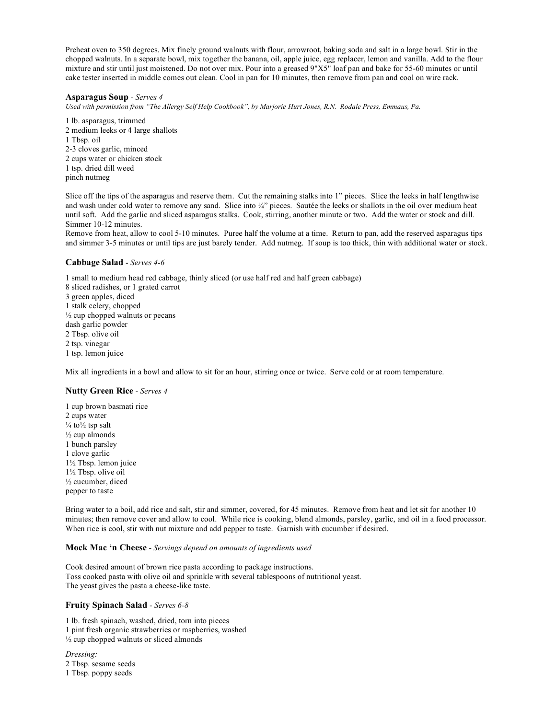Preheat oven to 350 degrees. Mix finely ground walnuts with flour, arrowroot, baking soda and salt in a large bowl. Stir in the chopped walnuts. In a separate bowl, mix together the banana, oil, apple juice, egg replacer, lemon and vanilla. Add to the flour mixture and stir until just moistened. Do not over mix. Pour into a greased 9"X5" loaf pan and bake for 55-60 minutes or until cake tester inserted in middle comes out clean. Cool in pan for 10 minutes, then remove from pan and cool on wire rack.

#### **Asparagus Soup** - *Serves 4*

*Used with permission from "The Allergy Self Help Cookbook", by Marjorie Hurt Jones, R.N. Rodale Press, Emmaus, Pa.*

1 lb. asparagus, trimmed 2 medium leeks or 4 large shallots 1 Tbsp. oil 2-3 cloves garlic, minced 2 cups water or chicken stock 1 tsp. dried dill weed pinch nutmeg

Slice off the tips of the asparagus and reserve them. Cut the remaining stalks into 1" pieces. Slice the leeks in half lengthwise and wash under cold water to remove any sand. Slice into ¼" pieces. Sautée the leeks or shallots in the oil over medium heat until soft. Add the garlic and sliced asparagus stalks. Cook, stirring, another minute or two. Add the water or stock and dill. Simmer 10-12 minutes.

Remove from heat, allow to cool 5-10 minutes. Puree half the volume at a time. Return to pan, add the reserved asparagus tips and simmer 3-5 minutes or until tips are just barely tender. Add nutmeg. If soup is too thick, thin with additional water or stock.

#### **Cabbage Salad** - *Serves 4-6*

1 small to medium head red cabbage, thinly sliced (or use half red and half green cabbage) 8 sliced radishes, or 1 grated carrot 3 green apples, diced 1 stalk celery, chopped ½ cup chopped walnuts or pecans dash garlic powder 2 Tbsp. olive oil 2 tsp. vinegar 1 tsp. lemon juice

Mix all ingredients in a bowl and allow to sit for an hour, stirring once or twice. Serve cold or at room temperature.

#### **Nutty Green Rice** - *Serves 4*

1 cup brown basmati rice 2 cups water  $\frac{1}{4}$  to  $\frac{1}{2}$  tsp salt  $\frac{1}{2}$  cup almonds 1 bunch parsley 1 clove garlic 1½ Tbsp. lemon juice 1½ Tbsp. olive oil ½ cucumber, diced pepper to taste

Bring water to a boil, add rice and salt, stir and simmer, covered, for 45 minutes. Remove from heat and let sit for another 10 minutes; then remove cover and allow to cool. While rice is cooking, blend almonds, parsley, garlic, and oil in a food processor. When rice is cool, stir with nut mixture and add pepper to taste. Garnish with cucumber if desired.

#### **Mock Mac 'n Cheese** - *Servings depend on amounts of ingredients used*

Cook desired amount of brown rice pasta according to package instructions. Toss cooked pasta with olive oil and sprinkle with several tablespoons of nutritional yeast. The yeast gives the pasta a cheese-like taste.

#### **Fruity Spinach Salad** - *Serves 6-8*

1 lb. fresh spinach, washed, dried, torn into pieces 1 pint fresh organic strawberries or raspberries, washed ½ cup chopped walnuts or sliced almonds

*Dressing:* 2 Tbsp. sesame seeds 1 Tbsp. poppy seeds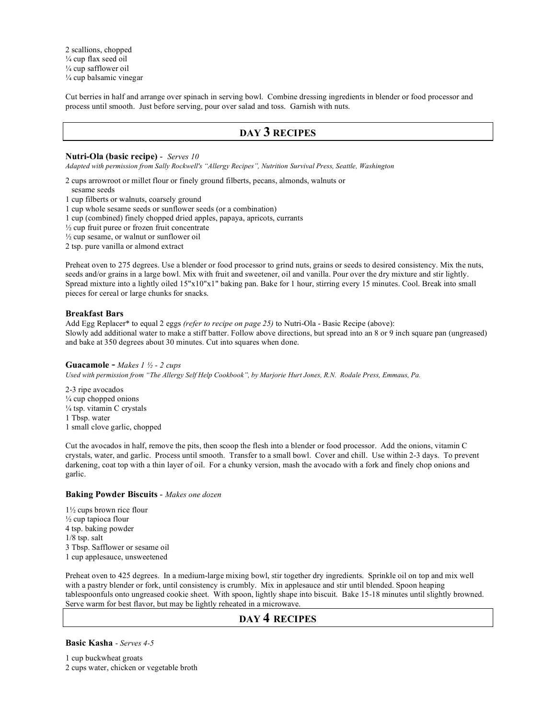Cut berries in half and arrange over spinach in serving bowl. Combine dressing ingredients in blender or food processor and process until smooth. Just before serving, pour over salad and toss. Garnish with nuts.

# **DAY 3 RECIPES**

#### **Nutri-Ola (basic recipe)** - *Serves 10*

*Adapted with permission from Sally Rockwell's "Allergy Recipes", Nutrition Survival Press, Seattle, Washington* 

- 2 cups arrowroot or millet flour or finely ground filberts, pecans, almonds, walnuts or
- sesame seeds
- 1 cup filberts or walnuts, coarsely ground
- 1 cup whole sesame seeds or sunflower seeds (or a combination)
- 1 cup (combined) finely chopped dried apples, papaya, apricots, currants
- $\frac{1}{2}$  cup fruit puree or frozen fruit concentrate
- $\frac{1}{2}$  cup sesame, or walnut or sunflower oil
- 2 tsp. pure vanilla or almond extract

Preheat oven to 275 degrees. Use a blender or food processor to grind nuts, grains or seeds to desired consistency. Mix the nuts, seeds and/or grains in a large bowl. Mix with fruit and sweetener, oil and vanilla. Pour over the dry mixture and stir lightly. Spread mixture into a lightly oiled 15"x10"x1" baking pan. Bake for 1 hour, stirring every 15 minutes. Cool. Break into small pieces for cereal or large chunks for snacks.

#### **Breakfast Bars**

Add Egg Replacer\* to equal 2 eggs *(refer to recipe on page 25)* to Nutri-Ola - Basic Recipe (above): Slowly add additional water to make a stiff batter. Follow above directions, but spread into an 8 or 9 inch square pan (ungreased) and bake at 350 degrees about 30 minutes. Cut into squares when done.

#### **Guacamole** - *Makes 1 <sup>½</sup> - 2 cups*

*Used with permission from "The Allergy Self Help Cookbook", by Marjorie Hurt Jones, R.N. Rodale Press, Emmaus, Pa.*

2-3 ripe avocados ¼ cup chopped onions ¼ tsp. vitamin C crystals 1 Tbsp. water 1 small clove garlic, chopped

Cut the avocados in half, remove the pits, then scoop the flesh into a blender or food processor. Add the onions, vitamin C crystals, water, and garlic. Process until smooth. Transfer to a small bowl. Cover and chill. Use within 2-3 days. To prevent darkening, coat top with a thin layer of oil. For a chunky version, mash the avocado with a fork and finely chop onions and garlic.

#### **Baking Powder Biscuits** - *Makes one dozen*

1½ cups brown rice flour  $\frac{1}{2}$  cup tapioca flour 4 tsp. baking powder 1/8 tsp. salt 3 Tbsp. Safflower or sesame oil 1 cup applesauce, unsweetened

Preheat oven to 425 degrees. In a medium-large mixing bowl, stir together dry ingredients. Sprinkle oil on top and mix well with a pastry blender or fork, until consistency is crumbly. Mix in applesauce and stir until blended. Spoon heaping tablespoonfuls onto ungreased cookie sheet. With spoon, lightly shape into biscuit. Bake 15-18 minutes until slightly browned. Serve warm for best flavor, but may be lightly reheated in a microwave.

# **DAY 4 RECIPES**

#### **Basic Kasha** - *Serves 4-5*

1 cup buckwheat groats 2 cups water, chicken or vegetable broth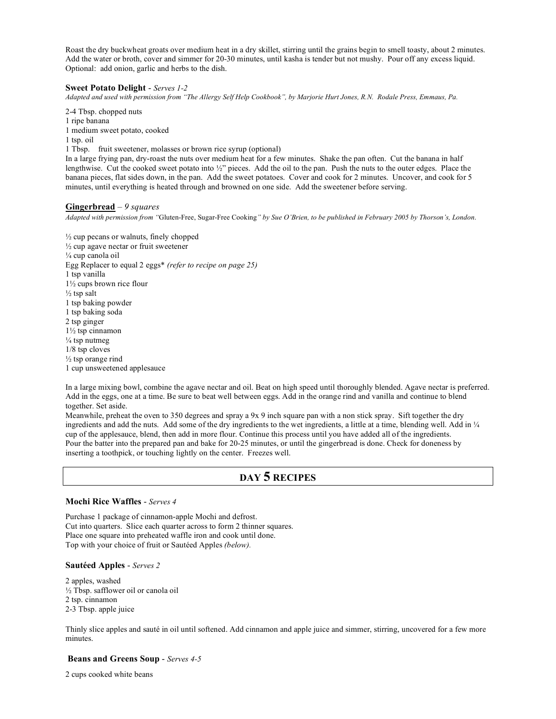Roast the dry buckwheat groats over medium heat in a dry skillet, stirring until the grains begin to smell toasty, about 2 minutes. Add the water or broth, cover and simmer for 20-30 minutes, until kasha is tender but not mushy. Pour off any excess liquid. Optional: add onion, garlic and herbs to the dish.

#### **Sweet Potato Delight** - *Serves 1-2*

*Adapted and used with permission from "The Allergy Self Help Cookbook", by Marjorie Hurt Jones, R.N. Rodale Press, Emmaus, Pa.*

2-4 Tbsp. chopped nuts

1 ripe banana

1 medium sweet potato, cooked

1 tsp. oil

1 Tbsp. fruit sweetener, molasses or brown rice syrup (optional)

In a large frying pan, dry-roast the nuts over medium heat for a few minutes. Shake the pan often. Cut the banana in half lengthwise. Cut the cooked sweet potato into ½" pieces. Add the oil to the pan. Push the nuts to the outer edges. Place the banana pieces, flat sides down, in the pan. Add the sweet potatoes. Cover and cook for 2 minutes. Uncover, and cook for 5 minutes, until everything is heated through and browned on one side. Add the sweetener before serving.

#### **Gingerbread** – *9 squares*

*Adapted with permission from "*Gluten-Free, Sugar-Free Cooking*" by Sue O'Brien, to be published in February 2005 by Thorson's, London.*

 $\frac{1}{2}$  cup pecans or walnuts, finely chopped  $\frac{1}{2}$  cup agave nectar or fruit sweetener ¼ cup canola oil Egg Replacer to equal 2 eggs\* *(refer to recipe on page 25)* 1 tsp vanilla 1½ cups brown rice flour  $\frac{1}{2}$  tsp salt 1 tsp baking powder 1 tsp baking soda 2 tsp ginger 1½ tsp cinnamon  $\frac{1}{4}$  tsp nutmeg 1/8 tsp cloves  $\frac{1}{2}$  tsp orange rind 1 cup unsweetened applesauce

In a large mixing bowl, combine the agave nectar and oil. Beat on high speed until thoroughly blended. Agave nectar is preferred. Add in the eggs, one at a time. Be sure to beat well between eggs. Add in the orange rind and vanilla and continue to blend together. Set aside.

Meanwhile, preheat the oven to 350 degrees and spray a 9x 9 inch square pan with a non stick spray. Sift together the dry ingredients and add the nuts. Add some of the dry ingredients to the wet ingredients, a little at a time, blending well. Add in 1/4 cup of the applesauce, blend, then add in more flour. Continue this process until you have added all of the ingredients. Pour the batter into the prepared pan and bake for 20-25 minutes, or until the gingerbread is done. Check for doneness by inserting a toothpick, or touching lightly on the center. Freezes well.

# **DAY 5 RECIPES**

#### **Mochi Rice Waffles** - *Serves 4*

Purchase 1 package of cinnamon-apple Mochi and defrost. Cut into quarters. Slice each quarter across to form 2 thinner squares. Place one square into preheated waffle iron and cook until done. Top with your choice of fruit or Sautéed Apples *(below).*

#### **Sautéed Apples** - *Serves 2*

2 apples, washed ½ Tbsp. safflower oil or canola oil 2 tsp. cinnamon 2-3 Tbsp. apple juice

Thinly slice apples and sauté in oil until softened. Add cinnamon and apple juice and simmer, stirring, uncovered for a few more minutes.

#### **Beans and Greens Soup** - *Serves 4-5*

2 cups cooked white beans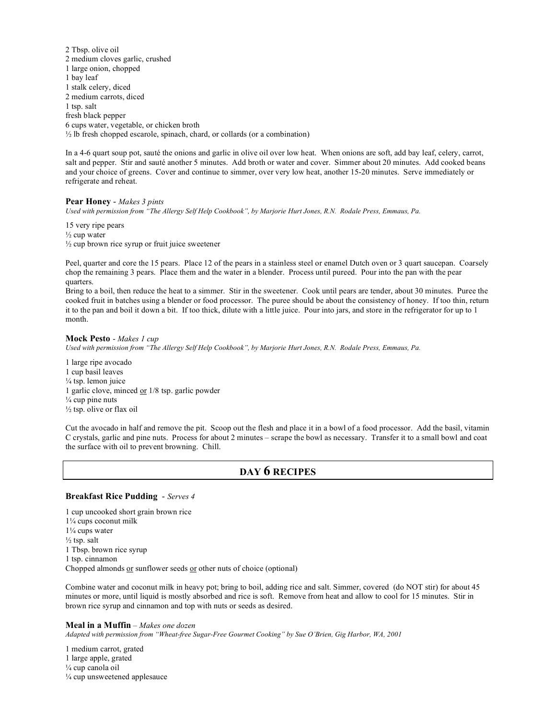2 Tbsp. olive oil 2 medium cloves garlic, crushed 1 large onion, chopped 1 bay leaf 1 stalk celery, diced 2 medium carrots, diced 1 tsp. salt fresh black pepper 6 cups water, vegetable, or chicken broth  $\frac{1}{2}$  lb fresh chopped escarole, spinach, chard, or collards (or a combination)

In a 4-6 quart soup pot, sauté the onions and garlic in olive oil over low heat. When onions are soft, add bay leaf, celery, carrot, salt and pepper. Stir and sauté another 5 minutes. Add broth or water and cover. Simmer about 20 minutes. Add cooked beans and your choice of greens. Cover and continue to simmer, over very low heat, another 15-20 minutes. Serve immediately or refrigerate and reheat.

#### **Pear Honey** - *Makes 3 pints*

*Used with permission from "The Allergy Self Help Cookbook", by Marjorie Hurt Jones, R.N. Rodale Press, Emmaus, Pa.*

15 very ripe pears  $\frac{1}{2}$  cup water  $\frac{1}{2}$  cup brown rice syrup or fruit juice sweetener

Peel, quarter and core the 15 pears. Place 12 of the pears in a stainless steel or enamel Dutch oven or 3 quart saucepan. Coarsely chop the remaining 3 pears. Place them and the water in a blender. Process until pureed. Pour into the pan with the pear quarters.

Bring to a boil, then reduce the heat to a simmer. Stir in the sweetener. Cook until pears are tender, about 30 minutes. Puree the cooked fruit in batches using a blender or food processor. The puree should be about the consistency of honey. If too thin, return it to the pan and boil it down a bit. If too thick, dilute with a little juice. Pour into jars, and store in the refrigerator for up to 1 month.

#### **Mock Pesto** - *Makes 1 cup*

*Used with permission from "The Allergy Self Help Cookbook", by Marjorie Hurt Jones, R.N. Rodale Press, Emmaus, Pa.*

1 large ripe avocado 1 cup basil leaves  $\frac{1}{4}$  tsp. lemon juice 1 garlic clove, minced or 1/8 tsp. garlic powder  $\frac{1}{4}$  cup pine nuts ½ tsp. olive or flax oil

Cut the avocado in half and remove the pit. Scoop out the flesh and place it in a bowl of a food processor. Add the basil, vitamin C crystals, garlic and pine nuts. Process for about 2 minutes – scrape the bowl as necessary. Transfer it to a small bowl and coat the surface with oil to prevent browning. Chill.

# **DAY 6 RECIPES**

#### **Breakfast Rice Pudding** - *Serves 4*

1 cup uncooked short grain brown rice 1¼ cups coconut milk 1¼ cups water  $\frac{1}{2}$  tsp. salt 1 Tbsp. brown rice syrup 1 tsp. cinnamon Chopped almonds or sunflower seeds or other nuts of choice (optional)

Combine water and coconut milk in heavy pot; bring to boil, adding rice and salt. Simmer, covered (do NOT stir) for about 45 minutes or more, until liquid is mostly absorbed and rice is soft. Remove from heat and allow to cool for 15 minutes. Stir in brown rice syrup and cinnamon and top with nuts or seeds as desired.

#### **Meal in a Muffin** – *Makes one dozen*

*Adapted with permission from "Wheat-free Sugar-Free Gourmet Cooking" by Sue O'Brien, Gig Harbor, WA, 2001*

1 medium carrot, grated 1 large apple, grated ¼ cup canola oil ¼ cup unsweetened applesauce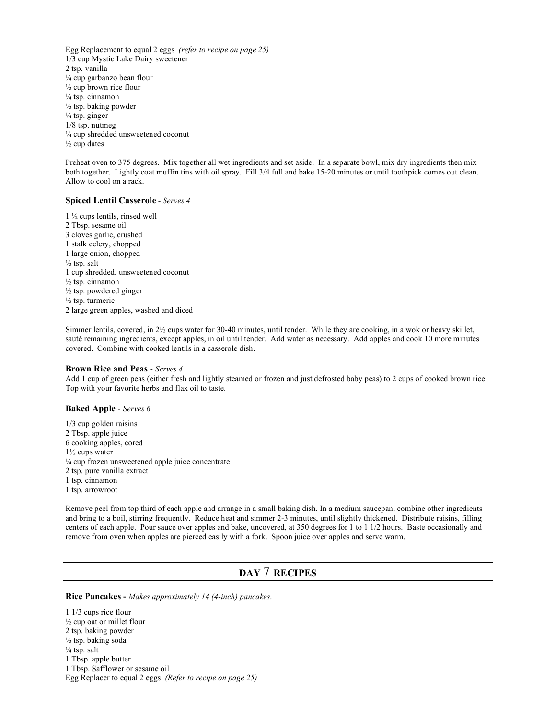Egg Replacement to equal 2 eggs *(refer to recipe on page 25)* 1/3 cup Mystic Lake Dairy sweetener 2 tsp. vanilla ¼ cup garbanzo bean flour  $\frac{1}{2}$  cup brown rice flour  $\frac{1}{4}$  tsp. cinnamon ½ tsp. baking powder  $\frac{1}{4}$  tsp. ginger 1/8 tsp. nutmeg ¼ cup shredded unsweetened coconut ½ cup dates

Preheat oven to 375 degrees. Mix together all wet ingredients and set aside. In a separate bowl, mix dry ingredients then mix both together. Lightly coat muffin tins with oil spray. Fill 3/4 full and bake 15-20 minutes or until toothpick comes out clean. Allow to cool on a rack.

#### **Spiced Lentil Casserole** - *Serves 4*

1 ½ cups lentils, rinsed well 2 Tbsp. sesame oil 3 cloves garlic, crushed 1 stalk celery, chopped 1 large onion, chopped  $\frac{1}{2}$  tsp. salt 1 cup shredded, unsweetened coconut  $\frac{1}{2}$  tsp. cinnamon  $\frac{1}{2}$  tsp. powdered ginger  $\frac{1}{2}$  tsp. turmeric 2 large green apples, washed and diced

Simmer lentils, covered, in 2½ cups water for 30-40 minutes, until tender. While they are cooking, in a wok or heavy skillet, sauté remaining ingredients, except apples, in oil until tender. Add water as necessary. Add apples and cook 10 more minutes covered. Combine with cooked lentils in a casserole dish.

#### **Brown Rice and Peas** - *Serves 4*

Add 1 cup of green peas (either fresh and lightly steamed or frozen and just defrosted baby peas) to 2 cups of cooked brown rice. Top with your favorite herbs and flax oil to taste.

#### **Baked Apple** - *Serves 6*

1/3 cup golden raisins 2 Tbsp. apple juice 6 cooking apples, cored  $1\frac{1}{2}$  cups water ¼ cup frozen unsweetened apple juice concentrate 2 tsp. pure vanilla extract 1 tsp. cinnamon 1 tsp. arrowroot

Remove peel from top third of each apple and arrange in a small baking dish. In a medium saucepan, combine other ingredients and bring to a boil, stirring frequently. Reduce heat and simmer 2-3 minutes, until slightly thickened. Distribute raisins, filling centers of each apple. Pour sauce over apples and bake, uncovered, at 350 degrees for 1 to 1 1/2 hours. Baste occasionally and remove from oven when apples are pierced easily with a fork. Spoon juice over apples and serve warm.

### **DAY** 7 **RECIPES**

**Rice Pancakes -** *Makes approximately 14 (4-inch) pancakes*.

1 1/3 cups rice flour  $\frac{1}{2}$  cup oat or millet flour 2 tsp. baking powder  $\frac{1}{2}$  tsp. baking soda  $\frac{1}{4}$  tsp. salt 1 Tbsp. apple butter 1 Tbsp. Safflower or sesame oil Egg Replacer to equal 2 eggs *(Refer to recipe on page 25)*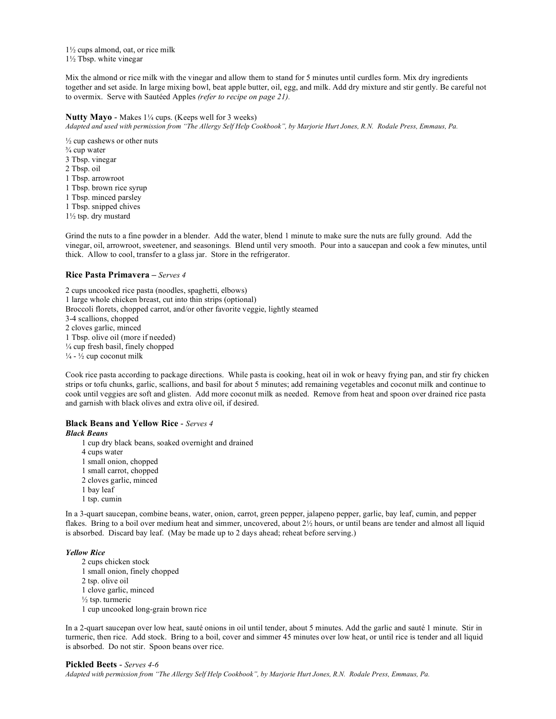1½ cups almond, oat, or rice milk 1½ Tbsp. white vinegar

Mix the almond or rice milk with the vinegar and allow them to stand for 5 minutes until curdles form. Mix dry ingredients together and set aside. In large mixing bowl, beat apple butter, oil, egg, and milk. Add dry mixture and stir gently. Be careful not to overmix. Serve with Sautéed Apples *(refer to recipe on page 21).*

# **Nutty Mayo** - Makes 1¼ cups. (Keeps well for 3 weeks)

*Adapted and used with permission from "The Allergy Self Help Cookbook", by Marjorie Hurt Jones, R.N. Rodale Press, Emmaus, Pa.*

- $\frac{1}{2}$  cup cashews or other nuts  $\frac{3}{4}$  cup water 3 Tbsp. vinegar 2 Tbsp. oil 1 Tbsp. arrowroot 1 Tbsp. brown rice syrup 1 Tbsp. minced parsley 1 Tbsp. snipped chives
- 1½ tsp. dry mustard

Grind the nuts to a fine powder in a blender. Add the water, blend 1 minute to make sure the nuts are fully ground. Add the vinegar, oil, arrowroot, sweetener, and seasonings. Blend until very smooth. Pour into a saucepan and cook a few minutes, until thick. Allow to cool, transfer to a glass jar. Store in the refrigerator.

#### **Rice Pasta Primavera –** *Serves 4*

2 cups uncooked rice pasta (noodles, spaghetti, elbows) 1 large whole chicken breast, cut into thin strips (optional) Broccoli florets, chopped carrot, and/or other favorite veggie, lightly steamed 3-4 scallions, chopped 2 cloves garlic, minced 1 Tbsp. olive oil (more if needed) ¼ cup fresh basil, finely chopped  $\frac{1}{4}$  -  $\frac{1}{2}$  cup coconut milk

Cook rice pasta according to package directions. While pasta is cooking, heat oil in wok or heavy frying pan, and stir fry chicken strips or tofu chunks, garlic, scallions, and basil for about 5 minutes; add remaining vegetables and coconut milk and continue to cook until veggies are soft and glisten. Add more coconut milk as needed. Remove from heat and spoon over drained rice pasta and garnish with black olives and extra olive oil, if desired.

#### **Black Beans and Yellow Rice** - *Serves 4*

*Black Beans*

1 cup dry black beans, soaked overnight and drained 4 cups water 1 small onion, chopped 1 small carrot, chopped 2 cloves garlic, minced 1 bay leaf 1 tsp. cumin In a 3-quart saucepan, combine beans, water, onion, carrot, green pepper, jalapeno pepper, garlic, bay leaf, cumin, and pepper flakes. Bring to a boil over medium heat and simmer, uncovered, about 2½ hours, or until beans are tender and almost all liquid

is absorbed. Discard bay leaf. (May be made up to 2 days ahead; reheat before serving.)

#### *Yellow Rice*

2 cups chicken stock 1 small onion, finely chopped 2 tsp. olive oil 1 clove garlic, minced  $\frac{1}{2}$  tsp. turmeric 1 cup uncooked long-grain brown rice

In a 2-quart saucepan over low heat, sauté onions in oil until tender, about 5 minutes. Add the garlic and sauté 1 minute. Stir in turmeric, then rice. Add stock. Bring to a boil, cover and simmer 45 minutes over low heat, or until rice is tender and all liquid is absorbed. Do not stir. Spoon beans over rice.

#### **Pickled Beets** - *Serves 4-6*

*Adapted with permission from "The Allergy Self Help Cookbook", by Marjorie Hurt Jones, R.N. Rodale Press, Emmaus, Pa.*